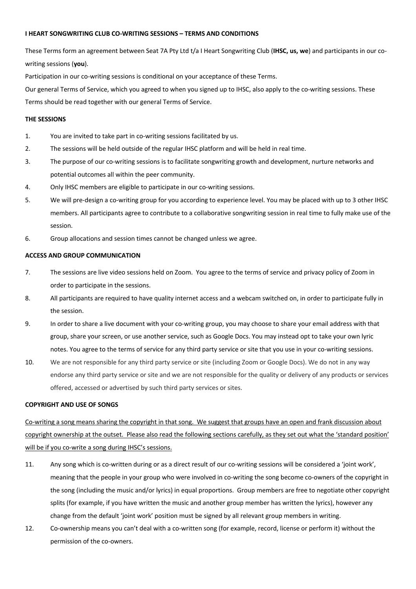## **I HEART SONGWRITING CLUB CO-WRITING SESSIONS – TERMS AND CONDITIONS**

These Terms form an agreement between Seat 7A Pty Ltd t/a I Heart Songwriting Club (**IHSC, us, we**) and participants in our cowriting sessions (**you**).

Participation in our co-writing sessions is conditional on your acceptance of these Terms.

Our general Terms of Service, which you agreed to when you signed up to IHSC, also apply to the co-writing sessions. These Terms should be read together with our general Terms of Service.

# **THE SESSIONS**

- 1. You are invited to take part in co-writing sessions facilitated by us.
- 2. The sessions will be held outside of the regular IHSC platform and will be held in real time.
- 3. The purpose of our co-writing sessions is to facilitate songwriting growth and development, nurture networks and potential outcomes all within the peer community.
- 4. Only IHSC members are eligible to participate in our co-writing sessions.
- 5. We will pre-design a co-writing group for you according to experience level. You may be placed with up to 3 other IHSC members. All participants agree to contribute to a collaborative songwriting session in real time to fully make use of the session.
- 6. Group allocations and session times cannot be changed unless we agree.

#### **ACCESS AND GROUP COMMUNICATION**

- 7. The sessions are live video sessions held on Zoom. You agree to the terms of service and privacy policy of Zoom in order to participate in the sessions.
- 8. All participants are required to have quality internet access and a webcam switched on, in order to participate fully in the session.
- 9. In order to share a live document with your co-writing group, you may choose to share your email address with that group, share your screen, or use another service, such as Google Docs. You may instead opt to take your own lyric notes. You agree to the terms of service for any third party service or site that you use in your co-writing sessions.
- 10. We are not responsible for any third party service or site (including Zoom or Google Docs). We do not in any way endorse any third party service or site and we are not responsible for the quality or delivery of any products or services offered, accessed or advertised by such third party services or sites.

### **COPYRIGHT AND USE OF SONGS**

Co-writing a song means sharing the copyright in that song. We suggest that groups have an open and frank discussion about copyright ownership at the outset. Please also read the following sections carefully, as they set out what the 'standard position' will be if you co-write a song during IHSC's sessions.

- 11. Any song which is co-written during or as a direct result of our co-writing sessions will be considered a 'joint work', meaning that the people in your group who were involved in co-writing the song become co-owners of the copyright in the song (including the music and/or lyrics) in equal proportions. Group members are free to negotiate other copyright splits (for example, if you have written the music and another group member has written the lyrics), however any change from the default 'joint work' position must be signed by all relevant group members in writing.
- 12. Co-ownership means you can't deal with a co-written song (for example, record, license or perform it) without the permission of the co-owners.